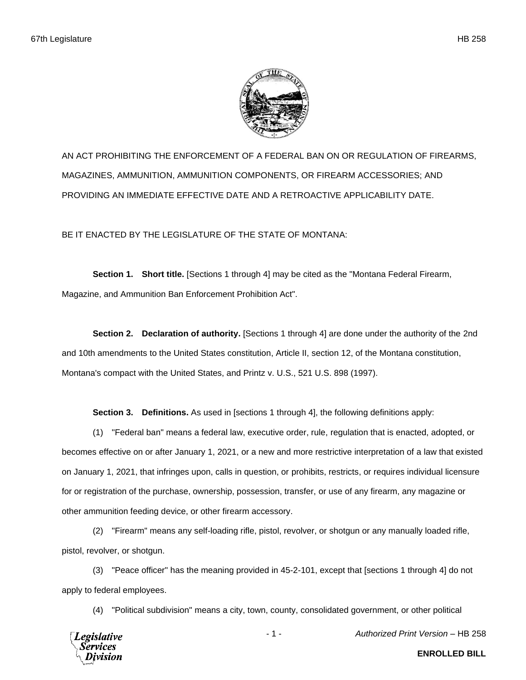

AN ACT PROHIBITING THE ENFORCEMENT OF A FEDERAL BAN ON OR REGULATION OF FIREARMS, MAGAZINES, AMMUNITION, AMMUNITION COMPONENTS, OR FIREARM ACCESSORIES; AND PROVIDING AN IMMEDIATE EFFECTIVE DATE AND A RETROACTIVE APPLICABILITY DATE.

BE IT ENACTED BY THE LEGISLATURE OF THE STATE OF MONTANA:

**Section 1. Short title.** [Sections 1 through 4] may be cited as the "Montana Federal Firearm, Magazine, and Ammunition Ban Enforcement Prohibition Act".

**Section 2. Declaration of authority.** [Sections 1 through 4] are done under the authority of the 2nd and 10th amendments to the United States constitution, Article II, section 12, of the Montana constitution, Montana's compact with the United States, and Printz v. U.S., 521 U.S. 898 (1997).

**Section 3. Definitions.** As used in [sections 1 through 4], the following definitions apply:

(1) "Federal ban" means a federal law, executive order, rule, regulation that is enacted, adopted, or becomes effective on or after January 1, 2021, or a new and more restrictive interpretation of a law that existed on January 1, 2021, that infringes upon, calls in question, or prohibits, restricts, or requires individual licensure for or registration of the purchase, ownership, possession, transfer, or use of any firearm, any magazine or other ammunition feeding device, or other firearm accessory.

(2) "Firearm" means any self-loading rifle, pistol, revolver, or shotgun or any manually loaded rifle, pistol, revolver, or shotgun.

(3) "Peace officer" has the meaning provided in 45-2-101, except that [sections 1 through 4] do not apply to federal employees.

(4) "Political subdivision" means a city, town, county, consolidated government, or other political



- 1 - *Authorized Print Version* – HB 258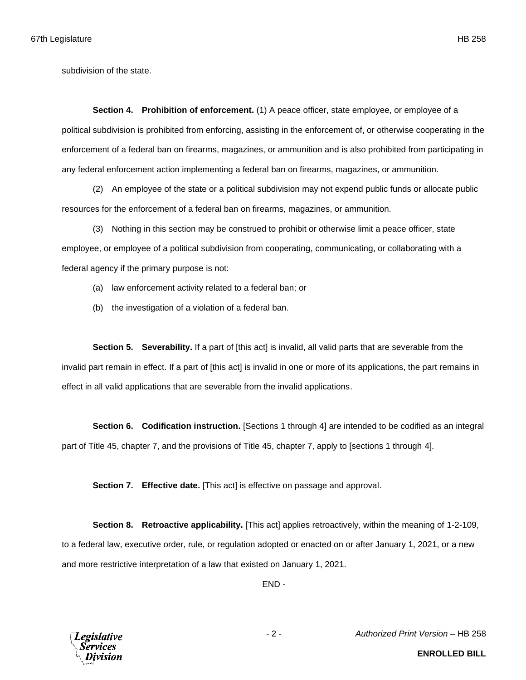subdivision of the state.

**Section 4. Prohibition of enforcement.** (1) A peace officer, state employee, or employee of a political subdivision is prohibited from enforcing, assisting in the enforcement of, or otherwise cooperating in the enforcement of a federal ban on firearms, magazines, or ammunition and is also prohibited from participating in any federal enforcement action implementing a federal ban on firearms, magazines, or ammunition.

(2) An employee of the state or a political subdivision may not expend public funds or allocate public resources for the enforcement of a federal ban on firearms, magazines, or ammunition.

(3) Nothing in this section may be construed to prohibit or otherwise limit a peace officer, state employee, or employee of a political subdivision from cooperating, communicating, or collaborating with a federal agency if the primary purpose is not:

- (a) law enforcement activity related to a federal ban; or
- (b) the investigation of a violation of a federal ban.

**Section 5. Severability.** If a part of [this act] is invalid, all valid parts that are severable from the invalid part remain in effect. If a part of [this act] is invalid in one or more of its applications, the part remains in effect in all valid applications that are severable from the invalid applications.

**Section 6. Codification instruction.** [Sections 1 through 4] are intended to be codified as an integral part of Title 45, chapter 7, and the provisions of Title 45, chapter 7, apply to [sections 1 through 4].

**Section 7. Effective date.** [This act] is effective on passage and approval.

**Section 8. Retroactive applicability.** [This act] applies retroactively, within the meaning of 1-2-109, to a federal law, executive order, rule, or regulation adopted or enacted on or after January 1, 2021, or a new and more restrictive interpretation of a law that existed on January 1, 2021.

END -



- 2 - *Authorized Print Version* – HB 258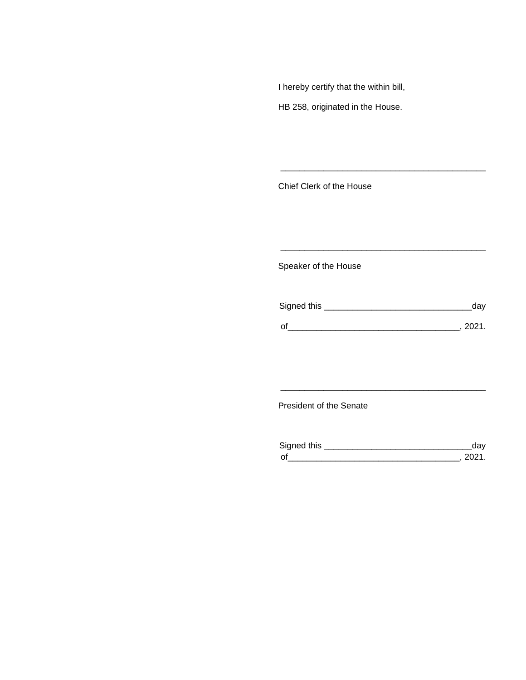I hereby certify that the within bill,

HB 258, originated in the House.

Chief Clerk of the House

Speaker of the House

| Signed this | dav   |
|-------------|-------|
|             |       |
|             | -2021 |

\_\_\_\_\_\_\_\_\_\_\_\_\_\_\_\_\_\_\_\_\_\_\_\_\_\_\_\_\_\_\_\_\_\_\_\_\_\_\_\_\_\_\_

\_\_\_\_\_\_\_\_\_\_\_\_\_\_\_\_\_\_\_\_\_\_\_\_\_\_\_\_\_\_\_\_\_\_\_\_\_\_\_\_\_\_\_

## President of the Senate

| Sianed this |  |
|-------------|--|
| $\Omega$    |  |

\_\_\_\_\_\_\_\_\_\_\_\_\_\_\_\_\_\_\_\_\_\_\_\_\_\_\_\_\_\_\_\_\_\_\_\_\_\_\_\_\_\_\_